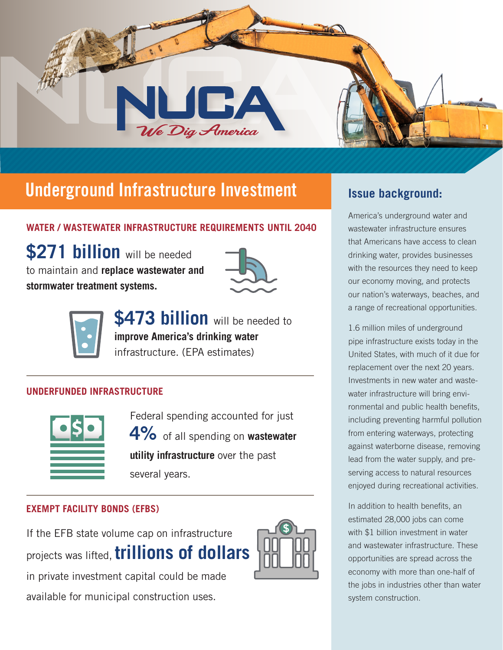

# Underground Infrastructure Investment **Insue background:**

## **WATER / WASTEWATER INFRASTRUCTURE REQUIREMENTS UNTIL 2040**

**\$271 billion** will be needed to maintain and **replace wastewater and stormwater treatment systems.**





**\$473 billion** will be needed to **improve America's drinking water**  infrastructure. (EPA estimates)

## **UNDERFUNDED INFRASTRUCTURE**



Federal spending accounted for just **4%** of all spending on **wastewater utility infrastructure** over the past several years.

## **EXEMPT FACILITY BONDS (EFBS)**

If the EFB state volume cap on infrastructure projects was lifted, **trillions of dollars**  in private investment capital could be made available for municipal construction uses.



America's underground water and wastewater infrastructure ensures that Americans have access to clean drinking water, provides businesses with the resources they need to keep our economy moving, and protects our nation's waterways, beaches, and a range of recreational opportunities.

1.6 million miles of underground pipe infrastructure exists today in the United States, with much of it due for replacement over the next 20 years. Investments in new water and wastewater infrastructure will bring environmental and public health benefits, including preventing harmful pollution from entering waterways, protecting against waterborne disease, removing lead from the water supply, and preserving access to natural resources enjoyed during recreational activities.

In addition to health benefits, an estimated 28,000 jobs can come with \$1 billion investment in water and wastewater infrastructure. These opportunities are spread across the economy with more than one-half of the jobs in industries other than water system construction.